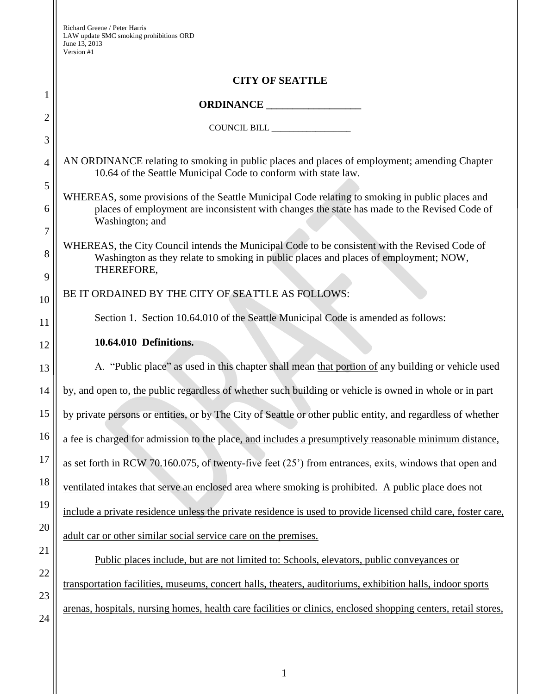1

2

3

4

5

6

7

8

9

10

11

12

13

14

15

16

17

18

19

20

21

22

23

24

## **CITY OF SEATTLE**

#### **ORDINANCE \_\_\_\_\_\_\_\_\_\_\_\_\_\_\_\_\_\_**

COUNCIL BILL \_\_\_\_\_\_\_\_\_\_\_\_\_\_\_\_\_\_

AN ORDINANCE relating to smoking in public places and places of employment; amending Chapter 10.64 of the Seattle Municipal Code to conform with state law.

WHEREAS, some provisions of the Seattle Municipal Code relating to smoking in public places and places of employment are inconsistent with changes the state has made to the Revised Code of Washington; and

WHEREAS, the City Council intends the Municipal Code to be consistent with the Revised Code of Washington as they relate to smoking in public places and places of employment; NOW, THEREFORE,

BE IT ORDAINED BY THE CITY OF SEATTLE AS FOLLOWS:

Section 1. Section 10.64.010 of the Seattle Municipal Code is amended as follows:

## **10.64.010 Definitions.**

A. "Public place" as used in this chapter shall mean that portion of any building or vehicle used by, and open to, the public regardless of whether such building or vehicle is owned in whole or in part by private persons or entities, or by The City of Seattle or other public entity, and regardless of whether a fee is charged for admission to the place, and includes a presumptively reasonable minimum distance, as set forth in RCW 70.160.075, of twenty-five feet (25') from entrances, exits, windows that open and ventilated intakes that serve an enclosed area where smoking is prohibited. A public place does not include a private residence unless the private residence is used to provide licensed child care, foster care, adult car or other similar social service care on the premises.

Public places include, but are not limited to: Schools, elevators, public conveyances or transportation facilities, museums, concert halls, theaters, auditoriums, exhibition halls, indoor sports arenas, hospitals, nursing homes, health care facilities or clinics, enclosed shopping centers, retail stores,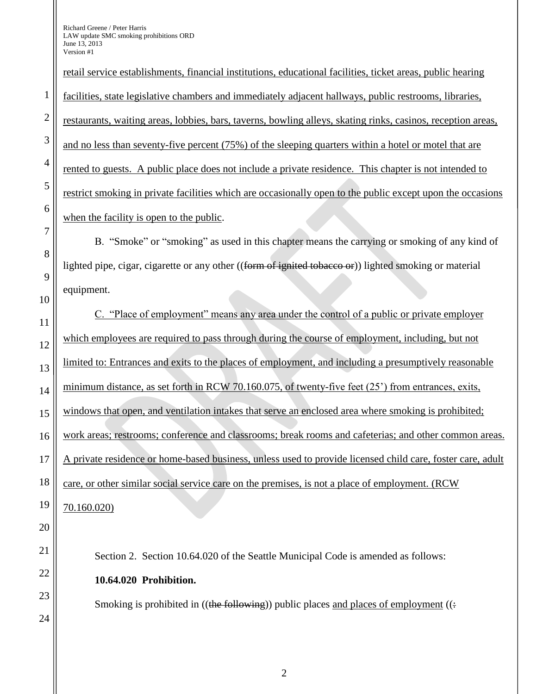retail service establishments, financial institutions, educational facilities, ticket areas, public hearing facilities, state legislative chambers and immediately adjacent hallways, public restrooms, libraries, restaurants, waiting areas, lobbies, bars, taverns, bowling alleys, skating rinks, casinos, reception areas, and no less than seventy-five percent (75%) of the sleeping quarters within a hotel or motel that are rented to guests. A public place does not include a private residence. This chapter is not intended to restrict smoking in private facilities which are occasionally open to the public except upon the occasions when the facility is open to the public.

B. "Smoke" or "smoking" as used in this chapter means the carrying or smoking of any kind of lighted pipe, cigar, cigarette or any other ((form of ignited tobacco or)) lighted smoking or material equipment.

C. "Place of employment" means any area under the control of a public or private employer which employees are required to pass through during the course of employment, including, but not limited to: Entrances and exits to the places of employment, and including a presumptively reasonable minimum distance, as set forth in RCW 70.160.075, of twenty-five feet (25') from entrances, exits, windows that open, and ventilation intakes that serve an enclosed area where smoking is prohibited; work areas; restrooms; conference and classrooms; break rooms and cafeterias; and other common areas. A private residence or home-based business, unless used to provide licensed child care, foster care, adult care, or other similar social service care on the premises, is not a place of employment. (RCW 70.160.020)

Section 2. Section 10.64.020 of the Seattle Municipal Code is amended as follows: **10.64.020 Prohibition.**

Smoking is prohibited in ((the following)) public places and places of employment ( $($ :

1

2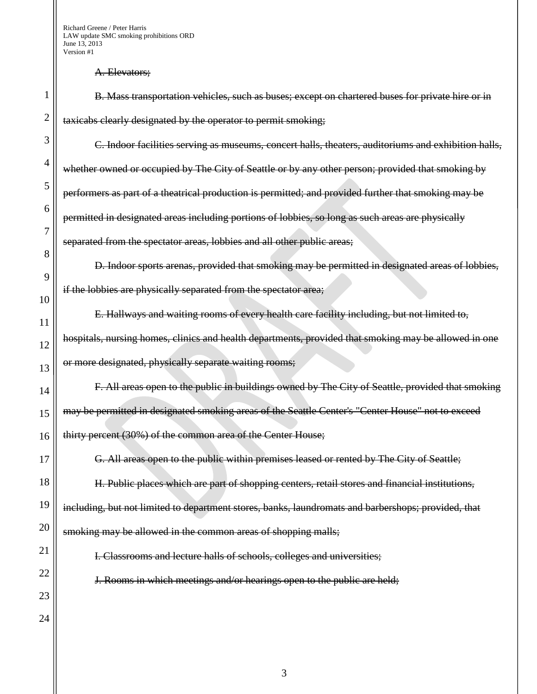#### A. Elevators;

B. Mass transportation vehicles, such as buses; except on chartered buses for private hire or in taxicabs clearly designated by the operator to permit smoking;

C. Indoor facilities serving as museums, concert halls, theaters, auditoriums and exhibition halls, whether owned or occupied by The City of Seattle or by any other person; provided that smoking by performers as part of a theatrical production is permitted; and provided further that smoking may be permitted in designated areas including portions of lobbies, so long as such areas are physically separated from the spectator areas, lobbies and all other public areas;

D. Indoor sports arenas, provided that smoking may be permitted in designated areas of lobbies, if the lobbies are physically separated from the spectator area;

E. Hallways and waiting rooms of every health care facility including, but not limited to, hospitals, nursing homes, clinics and health departments, provided that smoking may be allowed in one or more designated, physically separate waiting rooms;

F. All areas open to the public in buildings owned by The City of Seattle, provided that smoking may be permitted in designated smoking areas of the Seattle Center's "Center House" not to exceed thirty percent (30%) of the common area of the Center House;

G. All areas open to the public within premises leased or rented by The City of Seattle;

H. Public places which are part of shopping centers, retail stores and financial institutions, including, but not limited to department stores, banks, laundromats and barbershops; provided, that smoking may be allowed in the common areas of shopping malls;

I. Classrooms and lecture halls of schools, colleges and universities;

J. Rooms in which meetings and/or hearings open to the public are held;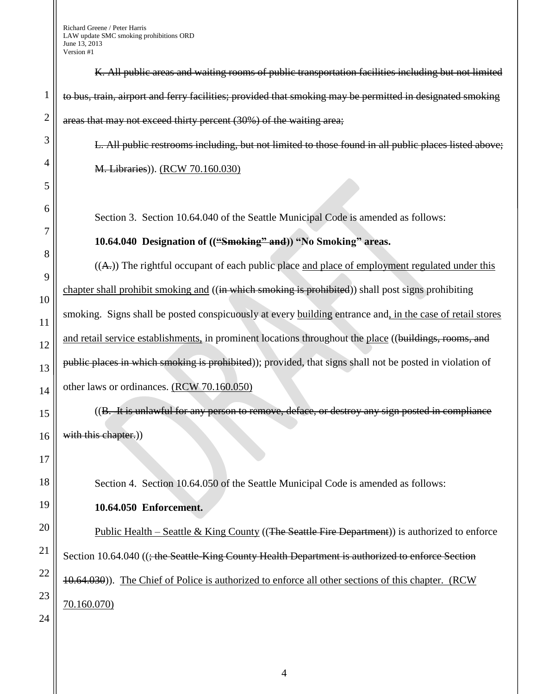K. All public areas and waiting rooms of public transportation facilities including but not limited to bus, train, airport and ferry facilities; provided that smoking may be permitted in designated smoking areas that may not exceed thirty percent (30%) of the waiting area; L. All public restrooms including, but not limited to those found in all public places listed above; M. Libraries)). (RCW 70.160.030)

Section 3. Section 10.64.040 of the Seattle Municipal Code is amended as follows:

**10.64.040 Designation of (("Smoking" and)) "No Smoking" areas.**

 $((A))$ . The rightful occupant of each public place and place of employment regulated under this chapter shall prohibit smoking and ((in which smoking is prohibited)) shall post signs prohibiting smoking. Signs shall be posted conspicuously at every building entrance and, in the case of retail stores and retail service establishments, in prominent locations throughout the place ((buildings, rooms, and public places in which smoking is prohibited)); provided, that signs shall not be posted in violation of other laws or ordinances. (RCW 70.160.050)

((B. It is unlawful for any person to remove, deface, or destroy any sign posted in compliance with this chapter.))

Section 4. Section 10.64.050 of the Seattle Municipal Code is amended as follows:

# **10.64.050 Enforcement.**

Public Health – Seattle & King County ( $($ The Seattle Fire Department)) is authorized to enforce Section 10.64.040 ((; the Seattle-King County Health Department is authorized to enforce Section 10.64.030)). The Chief of Police is authorized to enforce all other sections of this chapter. (RCW 70.160.070)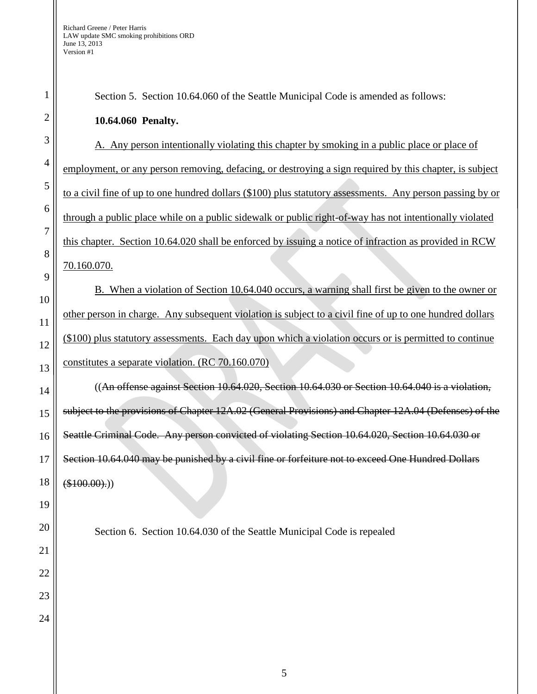1

2

3

4

5

6

7

8

9

10

11

12

13

14

15

16

17

18

19

20

21

22

23

| Section 5. Section 10.64.060 of the Seattle Municipal Code is amended as follows:                         |
|-----------------------------------------------------------------------------------------------------------|
| 10.64.060 Penalty.                                                                                        |
| A. Any person intentionally violating this chapter by smoking in a public place or place of               |
| employment, or any person removing, defacing, or destroying a sign required by this chapter, is subject   |
| to a civil fine of up to one hundred dollars (\$100) plus statutory assessments. Any person passing by or |
| through a public place while on a public sidewalk or public right-of-way has not intentionally violated   |
| this chapter. Section 10.64.020 shall be enforced by issuing a notice of infraction as provided in RCW    |
| 70.160.070.                                                                                               |
| B. When a violation of Section 10.64.040 occurs, a warning shall first be given to the owner or           |
| other person in charge. Any subsequent violation is subject to a civil fine of up to one hundred dollars  |
| (\$100) plus statutory assessments. Each day upon which a violation occurs or is permitted to continue    |
| constitutes a separate violation. (RC 70.160.070)                                                         |
| ((An offense against Section 10.64.020, Section 10.64.030 or Section 10.64.040 is a violation,            |
| subject to the provisions of Chapter 12A.02 (General Provisions) and Chapter 12A.04 (Defenses) of the     |
| Seattle Criminal Code. Any person convicted of violating Section 10.64.020, Section 10.64.030 or          |
| Section 10.64.040 may be punished by a civil fine or forfeiture not to exceed One Hundred Dollars         |
| $(\$100.00).$                                                                                             |
|                                                                                                           |
| Section 6. Section 10.64.030 of the Seattle Municipal Code is repealed                                    |
|                                                                                                           |
|                                                                                                           |
|                                                                                                           |
|                                                                                                           |